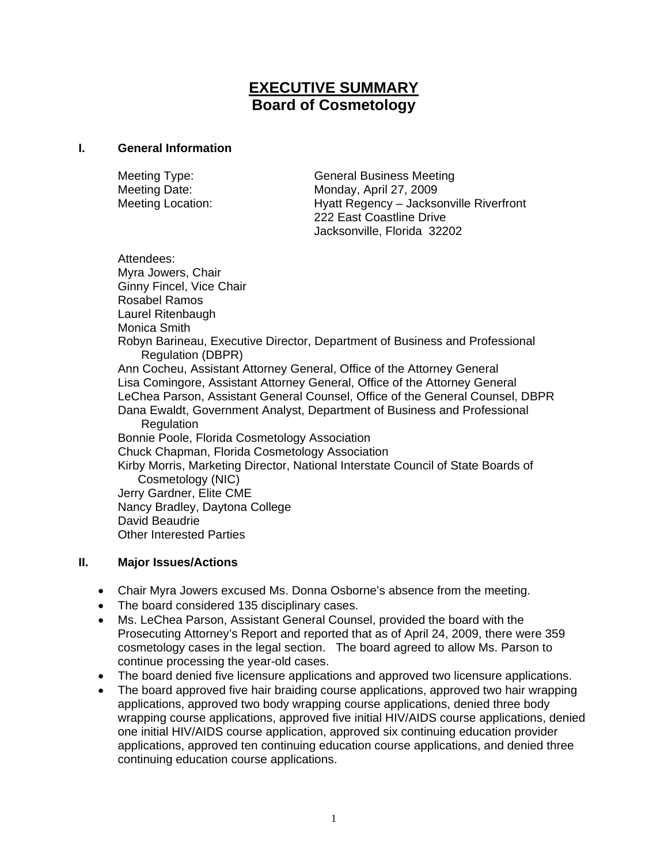# **EXECUTIVE SUMMARY Board of Cosmetology**

#### **I. General Information**

Meeting Type: General Business Meeting Meeting Date: Monday, April 27, 2009 Meeting Location: Hyatt Regency – Jacksonville Riverfront 222 East Coastline Drive Jacksonville, Florida 32202

Attendees: Myra Jowers, Chair Ginny Fincel, Vice Chair Rosabel Ramos Laurel Ritenbaugh Monica Smith Robyn Barineau, Executive Director, Department of Business and Professional Regulation (DBPR) Ann Cocheu, Assistant Attorney General, Office of the Attorney General Lisa Comingore, Assistant Attorney General, Office of the Attorney General LeChea Parson, Assistant General Counsel, Office of the General Counsel, DBPR Dana Ewaldt, Government Analyst, Department of Business and Professional **Regulation** Bonnie Poole, Florida Cosmetology Association Chuck Chapman, Florida Cosmetology Association Kirby Morris, Marketing Director, National Interstate Council of State Boards of Cosmetology (NIC) Jerry Gardner, Elite CME Nancy Bradley, Daytona College David Beaudrie Other Interested Parties

### **II. Major Issues/Actions**

- Chair Myra Jowers excused Ms. Donna Osborne's absence from the meeting.
- The board considered 135 disciplinary cases.
- Ms. LeChea Parson, Assistant General Counsel, provided the board with the Prosecuting Attorney's Report and reported that as of April 24, 2009, there were 359 cosmetology cases in the legal section. The board agreed to allow Ms. Parson to continue processing the year-old cases.
- The board denied five licensure applications and approved two licensure applications.
- The board approved five hair braiding course applications, approved two hair wrapping applications, approved two body wrapping course applications, denied three body wrapping course applications, approved five initial HIV/AIDS course applications, denied one initial HIV/AIDS course application, approved six continuing education provider applications, approved ten continuing education course applications, and denied three continuing education course applications.